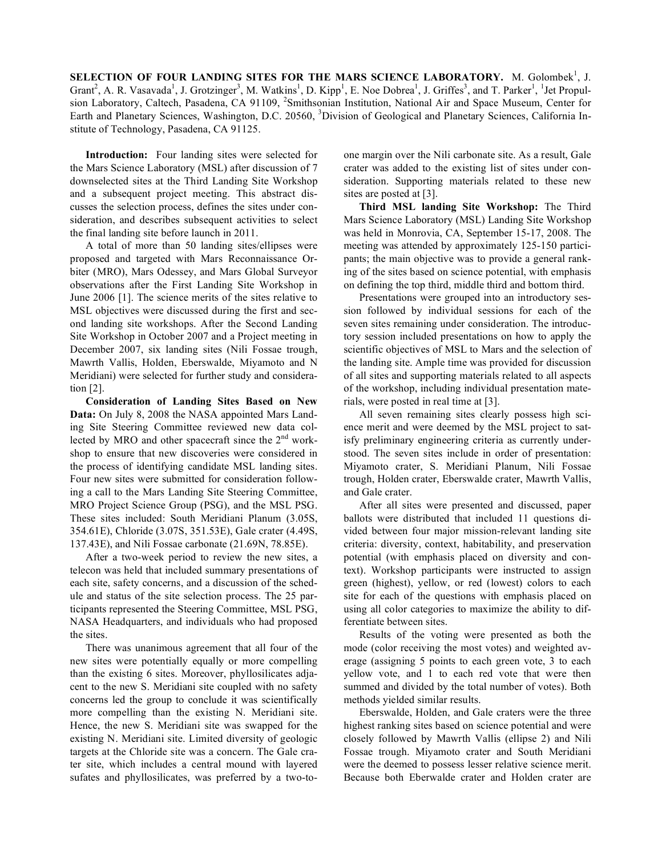**SELECTION OF FOUR LANDING SITES FOR THE MARS SCIENCE LABORATORY.** M. Golombek<sup>1</sup>, J. Grant<sup>2</sup>, A. R. Vasavada<sup>1</sup>, J. Grotzinger<sup>3</sup>, M. Watkins<sup>1</sup>, D. Kipp<sup>1</sup>, E. Noe Dobrea<sup>1</sup>, J. Griffes<sup>3</sup>, and T. Parker<sup>1</sup>, <sup>1</sup>Jet Propulsion Laboratory, Caltech, Pasadena, CA 91109, <sup>2</sup>Smithsonian Institution, National Air and Space Museum, Center for Earth and Planetary Sciences, Washington, D.C. 20560, <sup>3</sup>Division of Geological and Planetary Sciences, California Institute of Technology, Pasadena, CA 91125.

**Introduction:** Four landing sites were selected for the Mars Science Laboratory (MSL) after discussion of 7 downselected sites at the Third Landing Site Workshop and a subsequent project meeting. This abstract discusses the selection process, defines the sites under consideration, and describes subsequent activities to select the final landing site before launch in 2011.

A total of more than 50 landing sites/ellipses were proposed and targeted with Mars Reconnaissance Orbiter (MRO), Mars Odessey, and Mars Global Surveyor observations after the First Landing Site Workshop in June 2006 [1]. The science merits of the sites relative to MSL objectives were discussed during the first and second landing site workshops. After the Second Landing Site Workshop in October 2007 and a Project meeting in December 2007, six landing sites (Nili Fossae trough, Mawrth Vallis, Holden, Eberswalde, Miyamoto and N Meridiani) were selected for further study and consideration [2].

**Consideration of Landing Sites Based on New Data:** On July 8, 2008 the NASA appointed Mars Landing Site Steering Committee reviewed new data collected by MRO and other spacecraft since the 2<sup>nd</sup> workshop to ensure that new discoveries were considered in the process of identifying candidate MSL landing sites. Four new sites were submitted for consideration following a call to the Mars Landing Site Steering Committee, MRO Project Science Group (PSG), and the MSL PSG. These sites included: South Meridiani Planum (3.05S, 354.61E), Chloride (3.07S, 351.53E), Gale crater (4.49S, 137.43E), and Nili Fossae carbonate (21.69N, 78.85E).

After a two-week period to review the new sites, a telecon was held that included summary presentations of each site, safety concerns, and a discussion of the schedule and status of the site selection process. The 25 participants represented the Steering Committee, MSL PSG, NASA Headquarters, and individuals who had proposed the sites.

There was unanimous agreement that all four of the new sites were potentially equally or more compelling than the existing 6 sites. Moreover, phyllosilicates adjacent to the new S. Meridiani site coupled with no safety concerns led the group to conclude it was scientifically more compelling than the existing N. Meridiani site. Hence, the new S. Meridiani site was swapped for the existing N. Meridiani site. Limited diversity of geologic targets at the Chloride site was a concern. The Gale crater site, which includes a central mound with layered sufates and phyllosilicates, was preferred by a two-toone margin over the Nili carbonate site. As a result, Gale crater was added to the existing list of sites under consideration. Supporting materials related to these new sites are posted at [3].

**Third MSL landing Site Workshop:** The Third Mars Science Laboratory (MSL) Landing Site Workshop was held in Monrovia, CA, September 15-17, 2008. The meeting was attended by approximately 125-150 participants; the main objective was to provide a general ranking of the sites based on science potential, with emphasis on defining the top third, middle third and bottom third.

Presentations were grouped into an introductory session followed by individual sessions for each of the seven sites remaining under consideration. The introductory session included presentations on how to apply the scientific objectives of MSL to Mars and the selection of the landing site. Ample time was provided for discussion of all sites and supporting materials related to all aspects of the workshop, including individual presentation materials, were posted in real time at [3].

All seven remaining sites clearly possess high science merit and were deemed by the MSL project to satisfy preliminary engineering criteria as currently understood. The seven sites include in order of presentation: Miyamoto crater, S. Meridiani Planum, Nili Fossae trough, Holden crater, Eberswalde crater, Mawrth Vallis, and Gale crater.

After all sites were presented and discussed, paper ballots were distributed that included 11 questions divided between four major mission-relevant landing site criteria: diversity, context, habitability, and preservation potential (with emphasis placed on diversity and context). Workshop participants were instructed to assign green (highest), yellow, or red (lowest) colors to each site for each of the questions with emphasis placed on using all color categories to maximize the ability to differentiate between sites.

Results of the voting were presented as both the mode (color receiving the most votes) and weighted average (assigning 5 points to each green vote, 3 to each yellow vote, and 1 to each red vote that were then summed and divided by the total number of votes). Both methods yielded similar results.

Eberswalde, Holden, and Gale craters were the three highest ranking sites based on science potential and were closely followed by Mawrth Vallis (ellipse 2) and Nili Fossae trough. Miyamoto crater and South Meridiani were the deemed to possess lesser relative science merit. Because both Eberwalde crater and Holden crater are